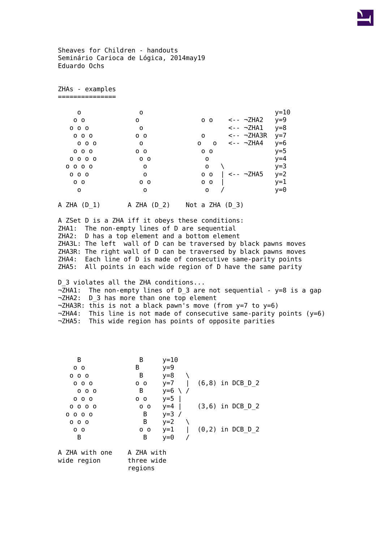Sheaves for Children - handouts Seminário Carioca de Lógica, 2014may19 Eduardo Ochs

ZHAs - examples ===============

| 0                        | 0          |                                   | $y=10$ |
|--------------------------|------------|-----------------------------------|--------|
| 0 <sub>0</sub>           | 0          | $\leftarrow -7$ HA2<br>$0\quad 0$ | $y=9$  |
| 000                      | 0          | $\leftarrow  \neg$ ZHA1           | y=8    |
| 000                      | $0\quad 0$ | $\leftarrow  \neg$ ZHA3R<br>0     | $y=7$  |
| 000                      | 0          | $\leftarrow  \neg$ ZHA4<br>0<br>0 | у=6    |
| 000                      | $0\quad 0$ | $0\quad 0$                        | y=5    |
| $0\quad 0\quad 0\quad 0$ | $0\quad 0$ | 0                                 | $y=4$  |
| $0\quad 0\quad 0\quad 0$ | 0          | 0                                 | y=3    |
| 000                      | 0          | <-- ¬ZHA5<br>0 <sub>0</sub>       | $y=2$  |
| 0 <sub>0</sub>           | $0\quad 0$ | 0 <sub>0</sub>                    | $y=1$  |
| 0                        | 0          | 0                                 | v=0    |
|                          |            |                                   |        |

A ZHA (D\_1) A ZHA (D\_2) Not a ZHA (D\_3)

A ZSet D is a ZHA iff it obeys these conditions: ZHA1: The non-empty lines of D are sequential ZHA2: D has a top element and a bottom element ZHA3L: The left wall of D can be traversed by black pawns moves ZHA3R: The right wall of D can be traversed by black pawns moves ZHA4: Each line of D is made of consecutive same-parity points ZHA5: All points in each wide region of D have the same parity

D 3 violates all the ZHA conditions...  $\neg$ ZHA1: The non-empty lines of D\_3 are not sequential - y=8 is a gap ¬ZHA2: D\_3 has more than one top element ¬ZHA3R: this is not a black pawn's move (from y=7 to y=6)  $\neg$ ZHA4: This line is not made of consecutive same-parity points (y=6) ¬ZHA5: This wide region has points of opposite parities

| В                        | В              | $y=10$  |                    |
|--------------------------|----------------|---------|--------------------|
| $0\quad$                 | В              | $y=9$   |                    |
| $0\,0\,0$                | В              | $y=8$   |                    |
| $0\,$ $0\,$ $0\,$        | 0 <sub>0</sub> | $y=7$   | $(6,8)$ in DCB D 2 |
| 000                      | B              | $y=6$   |                    |
| $0\,$ $0\,$ $0\,$        | - 0<br>O       | $y=5$   |                    |
| $0\quad 0\quad 0\quad 0$ | - 0<br>0       | $y=4$   | $(3,6)$ in DCB D 2 |
| $0\quad 0\quad 0\quad 0$ | B              | $y=3$ / |                    |
| $0\,0\,0$                | В              | $y=2$   |                    |
| $0\quad 0$               | $0\quad 0$     | $y=1$   | $(0,2)$ in DCB D 2 |
| B                        | В              | y=0     |                    |
| A ZHA with one           | A ZHA with     |         |                    |

wide region three wide

regions